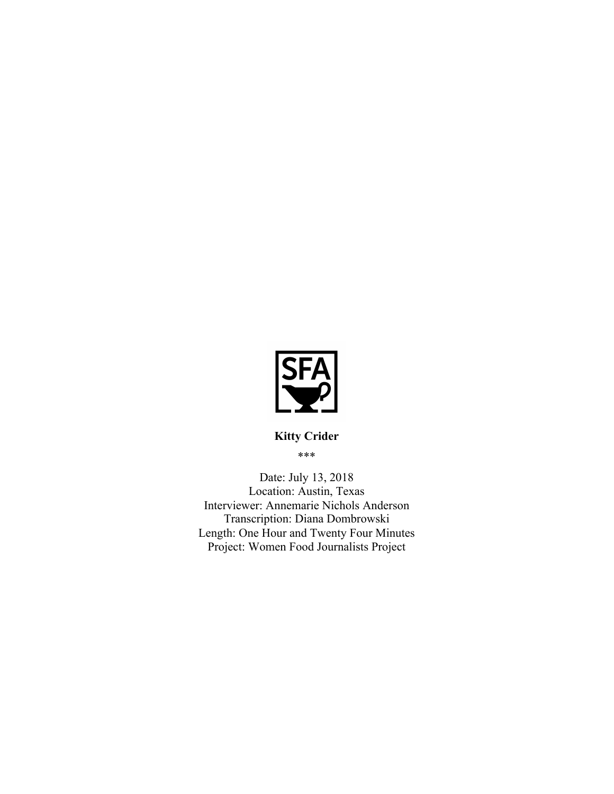

\*\*\*

Date: July 13, 2018 Location: Austin, Texas Interviewer: Annemarie Nichols Anderson Transcription: Diana Dombrowski Length: One Hour and Twenty Four Minutes Project: Women Food Journalists Project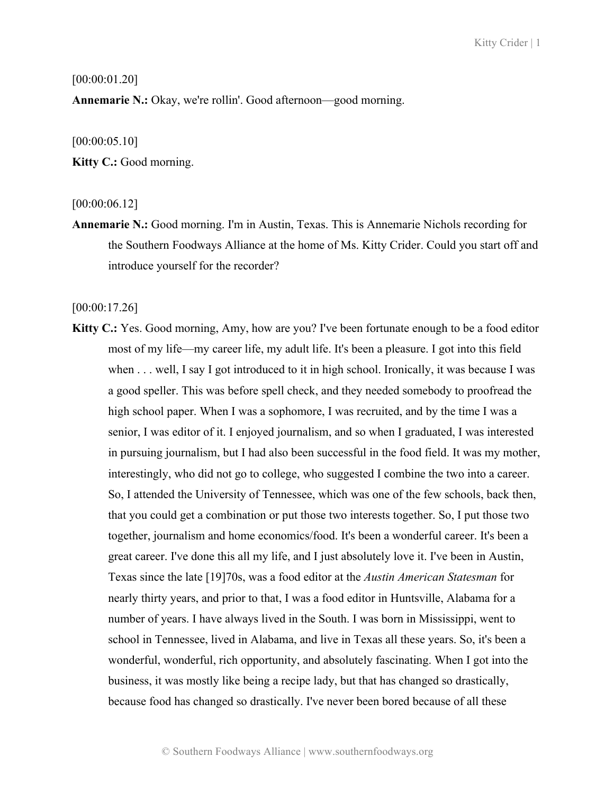## [00:00:01.20]

**Annemarie N.:** Okay, we're rollin'. Good afternoon—good morning.

[00:00:05.10]

**Kitty C.:** Good morning.

### [00:00:06.12]

**Annemarie N.:** Good morning. I'm in Austin, Texas. This is Annemarie Nichols recording for the Southern Foodways Alliance at the home of Ms. Kitty Crider. Could you start off and introduce yourself for the recorder?

[00:00:17.26]

**Kitty C.:** Yes. Good morning, Amy, how are you? I've been fortunate enough to be a food editor most of my life—my career life, my adult life. It's been a pleasure. I got into this field when . . . well, I say I got introduced to it in high school. Ironically, it was because I was a good speller. This was before spell check, and they needed somebody to proofread the high school paper. When I was a sophomore, I was recruited, and by the time I was a senior, I was editor of it. I enjoyed journalism, and so when I graduated, I was interested in pursuing journalism, but I had also been successful in the food field. It was my mother, interestingly, who did not go to college, who suggested I combine the two into a career. So, I attended the University of Tennessee, which was one of the few schools, back then, that you could get a combination or put those two interests together. So, I put those two together, journalism and home economics/food. It's been a wonderful career. It's been a great career. I've done this all my life, and I just absolutely love it. I've been in Austin, Texas since the late [19]70s, was a food editor at the *Austin American Statesman* for nearly thirty years, and prior to that, I was a food editor in Huntsville, Alabama for a number of years. I have always lived in the South. I was born in Mississippi, went to school in Tennessee, lived in Alabama, and live in Texas all these years. So, it's been a wonderful, wonderful, rich opportunity, and absolutely fascinating. When I got into the business, it was mostly like being a recipe lady, but that has changed so drastically, because food has changed so drastically. I've never been bored because of all these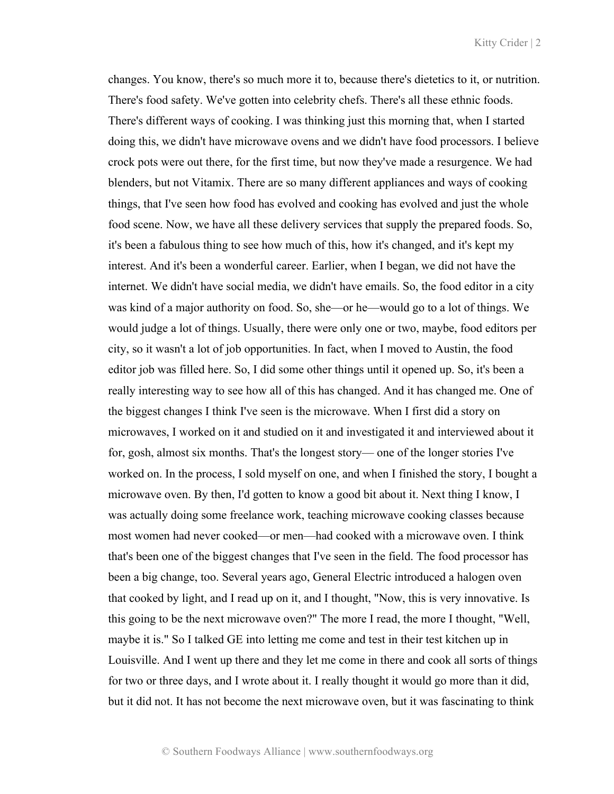changes. You know, there's so much more it to, because there's dietetics to it, or nutrition. There's food safety. We've gotten into celebrity chefs. There's all these ethnic foods. There's different ways of cooking. I was thinking just this morning that, when I started doing this, we didn't have microwave ovens and we didn't have food processors. I believe crock pots were out there, for the first time, but now they've made a resurgence. We had blenders, but not Vitamix. There are so many different appliances and ways of cooking things, that I've seen how food has evolved and cooking has evolved and just the whole food scene. Now, we have all these delivery services that supply the prepared foods. So, it's been a fabulous thing to see how much of this, how it's changed, and it's kept my interest. And it's been a wonderful career. Earlier, when I began, we did not have the internet. We didn't have social media, we didn't have emails. So, the food editor in a city was kind of a major authority on food. So, she—or he—would go to a lot of things. We would judge a lot of things. Usually, there were only one or two, maybe, food editors per city, so it wasn't a lot of job opportunities. In fact, when I moved to Austin, the food editor job was filled here. So, I did some other things until it opened up. So, it's been a really interesting way to see how all of this has changed. And it has changed me. One of the biggest changes I think I've seen is the microwave. When I first did a story on microwaves, I worked on it and studied on it and investigated it and interviewed about it for, gosh, almost six months. That's the longest story— one of the longer stories I've worked on. In the process, I sold myself on one, and when I finished the story, I bought a microwave oven. By then, I'd gotten to know a good bit about it. Next thing I know, I was actually doing some freelance work, teaching microwave cooking classes because most women had never cooked—or men—had cooked with a microwave oven. I think that's been one of the biggest changes that I've seen in the field. The food processor has been a big change, too. Several years ago, General Electric introduced a halogen oven that cooked by light, and I read up on it, and I thought, "Now, this is very innovative. Is this going to be the next microwave oven?" The more I read, the more I thought, "Well, maybe it is." So I talked GE into letting me come and test in their test kitchen up in Louisville. And I went up there and they let me come in there and cook all sorts of things for two or three days, and I wrote about it. I really thought it would go more than it did, but it did not. It has not become the next microwave oven, but it was fascinating to think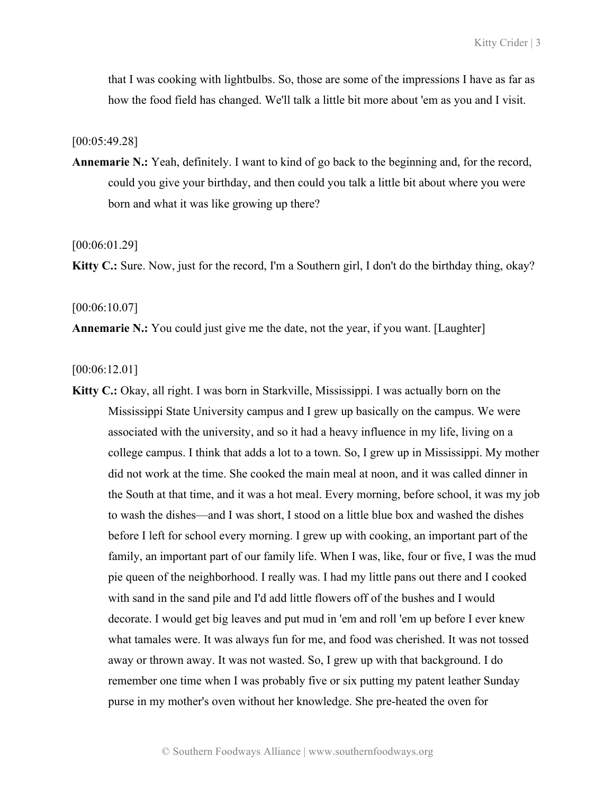that I was cooking with lightbulbs. So, those are some of the impressions I have as far as how the food field has changed. We'll talk a little bit more about 'em as you and I visit.

[00:05:49.28]

**Annemarie N.:** Yeah, definitely. I want to kind of go back to the beginning and, for the record, could you give your birthday, and then could you talk a little bit about where you were born and what it was like growing up there?

[00:06:01.29]

**Kitty C.:** Sure. Now, just for the record, I'm a Southern girl, I don't do the birthday thing, okay?

#### [00:06:10.07]

**Annemarie N.:** You could just give me the date, not the year, if you want. [Laughter]

[00:06:12.01]

**Kitty C.:** Okay, all right. I was born in Starkville, Mississippi. I was actually born on the Mississippi State University campus and I grew up basically on the campus. We were associated with the university, and so it had a heavy influence in my life, living on a college campus. I think that adds a lot to a town. So, I grew up in Mississippi. My mother did not work at the time. She cooked the main meal at noon, and it was called dinner in the South at that time, and it was a hot meal. Every morning, before school, it was my job to wash the dishes—and I was short, I stood on a little blue box and washed the dishes before I left for school every morning. I grew up with cooking, an important part of the family, an important part of our family life. When I was, like, four or five, I was the mud pie queen of the neighborhood. I really was. I had my little pans out there and I cooked with sand in the sand pile and I'd add little flowers off of the bushes and I would decorate. I would get big leaves and put mud in 'em and roll 'em up before I ever knew what tamales were. It was always fun for me, and food was cherished. It was not tossed away or thrown away. It was not wasted. So, I grew up with that background. I do remember one time when I was probably five or six putting my patent leather Sunday purse in my mother's oven without her knowledge. She pre-heated the oven for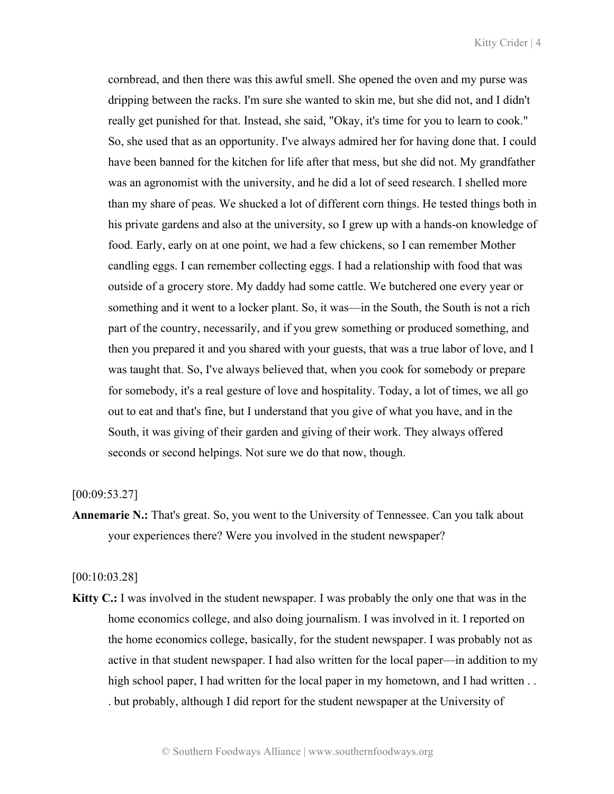cornbread, and then there was this awful smell. She opened the oven and my purse was dripping between the racks. I'm sure she wanted to skin me, but she did not, and I didn't really get punished for that. Instead, she said, "Okay, it's time for you to learn to cook." So, she used that as an opportunity. I've always admired her for having done that. I could have been banned for the kitchen for life after that mess, but she did not. My grandfather was an agronomist with the university, and he did a lot of seed research. I shelled more than my share of peas. We shucked a lot of different corn things. He tested things both in his private gardens and also at the university, so I grew up with a hands-on knowledge of food. Early, early on at one point, we had a few chickens, so I can remember Mother candling eggs. I can remember collecting eggs. I had a relationship with food that was outside of a grocery store. My daddy had some cattle. We butchered one every year or something and it went to a locker plant. So, it was—in the South, the South is not a rich part of the country, necessarily, and if you grew something or produced something, and then you prepared it and you shared with your guests, that was a true labor of love, and I was taught that. So, I've always believed that, when you cook for somebody or prepare for somebody, it's a real gesture of love and hospitality. Today, a lot of times, we all go out to eat and that's fine, but I understand that you give of what you have, and in the South, it was giving of their garden and giving of their work. They always offered seconds or second helpings. Not sure we do that now, though.

#### [00:09:53.27]

**Annemarie N.:** That's great. So, you went to the University of Tennessee. Can you talk about your experiences there? Were you involved in the student newspaper?

#### [00:10:03.28]

**Kitty C.:** I was involved in the student newspaper. I was probably the only one that was in the home economics college, and also doing journalism. I was involved in it. I reported on the home economics college, basically, for the student newspaper. I was probably not as active in that student newspaper. I had also written for the local paper—in addition to my high school paper, I had written for the local paper in my hometown, and I had written . . . but probably, although I did report for the student newspaper at the University of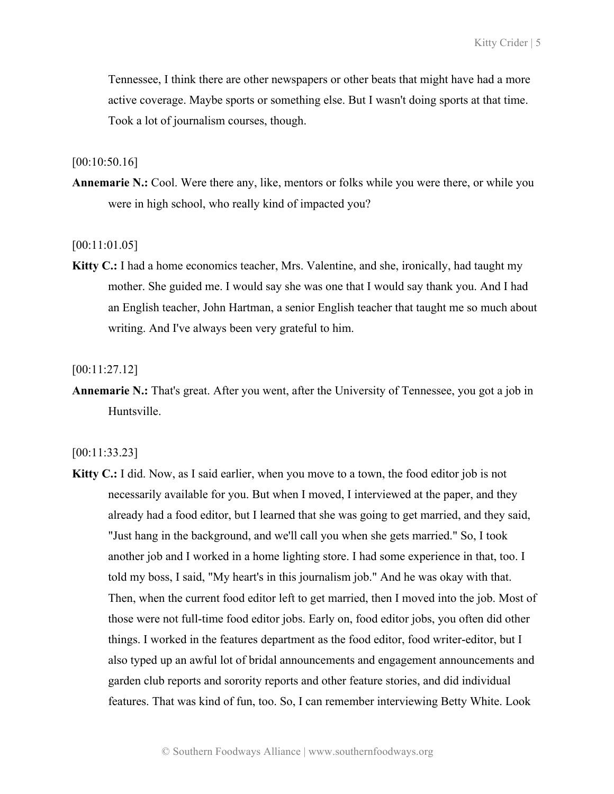Tennessee, I think there are other newspapers or other beats that might have had a more active coverage. Maybe sports or something else. But I wasn't doing sports at that time. Took a lot of journalism courses, though.

#### [00:10:50.16]

**Annemarie N.:** Cool. Were there any, like, mentors or folks while you were there, or while you were in high school, who really kind of impacted you?

[00:11:01.05]

**Kitty C.:** I had a home economics teacher, Mrs. Valentine, and she, ironically, had taught my mother. She guided me. I would say she was one that I would say thank you. And I had an English teacher, John Hartman, a senior English teacher that taught me so much about writing. And I've always been very grateful to him.

[00:11:27.12]

**Annemarie N.:** That's great. After you went, after the University of Tennessee, you got a job in Huntsville.

[00:11:33.23]

**Kitty C.:** I did. Now, as I said earlier, when you move to a town, the food editor job is not necessarily available for you. But when I moved, I interviewed at the paper, and they already had a food editor, but I learned that she was going to get married, and they said, "Just hang in the background, and we'll call you when she gets married." So, I took another job and I worked in a home lighting store. I had some experience in that, too. I told my boss, I said, "My heart's in this journalism job." And he was okay with that. Then, when the current food editor left to get married, then I moved into the job. Most of those were not full-time food editor jobs. Early on, food editor jobs, you often did other things. I worked in the features department as the food editor, food writer-editor, but I also typed up an awful lot of bridal announcements and engagement announcements and garden club reports and sorority reports and other feature stories, and did individual features. That was kind of fun, too. So, I can remember interviewing Betty White. Look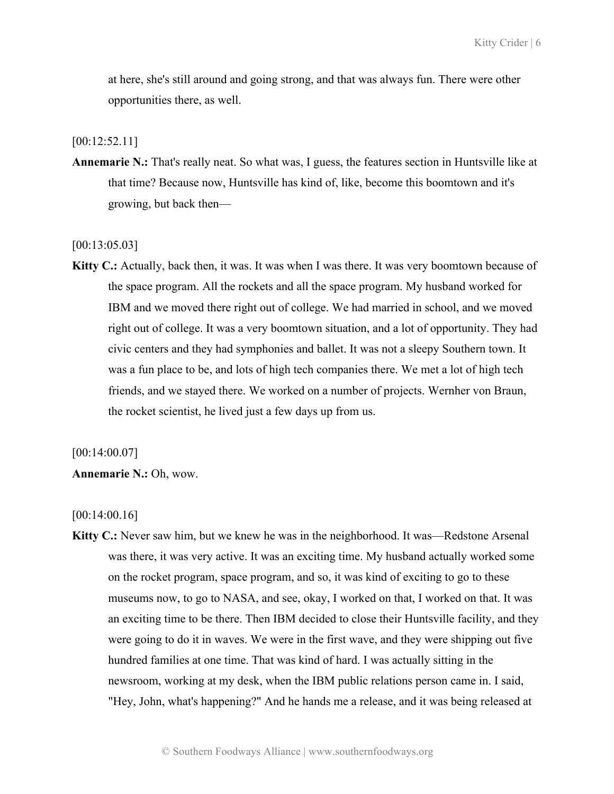at here, she's still around and going strong, and that was always fun. There were other opportunities there, as well.

[00:12:52.11]

**Annemarie N.:** That's really neat. So what was, I guess, the features section in Huntsville like at that time? Because now, Huntsville has kind of, like, become this boomtown and it's growing, but back then—

[00:13:05.03]

**Kitty C.:** Actually, back then, it was. It was when I was there. It was very boomtown because of the space program. All the rockets and all the space program. My husband worked for IBM and we moved there right out of college. We had married in school, and we moved right out of college. It was a very boomtown situation, and a lot of opportunity. They had civic centers and they had symphonies and ballet. It was not a sleepy Southern town. It was a fun place to be, and lots of high tech companies there. We met a lot of high tech friends, and we stayed there. We worked on a number of projects. Wernher von Braun, the rocket scientist, he lived just a few days up from us.

[00:14:00.07]

### **Annemarie N.:** Oh, wow.

[00:14:00.16]

**Kitty C.:** Never saw him, but we knew he was in the neighborhood. It was—Redstone Arsenal was there, it was very active. It was an exciting time. My husband actually worked some on the rocket program, space program, and so, it was kind of exciting to go to these museums now, to go to NASA, and see, okay, I worked on that, I worked on that. It was an exciting time to be there. Then IBM decided to close their Huntsville facility, and they were going to do it in waves. We were in the first wave, and they were shipping out five hundred families at one time. That was kind of hard. I was actually sitting in the newsroom, working at my desk, when the IBM public relations person came in. I said, "Hey, John, what's happening?" And he hands me a release, and it was being released at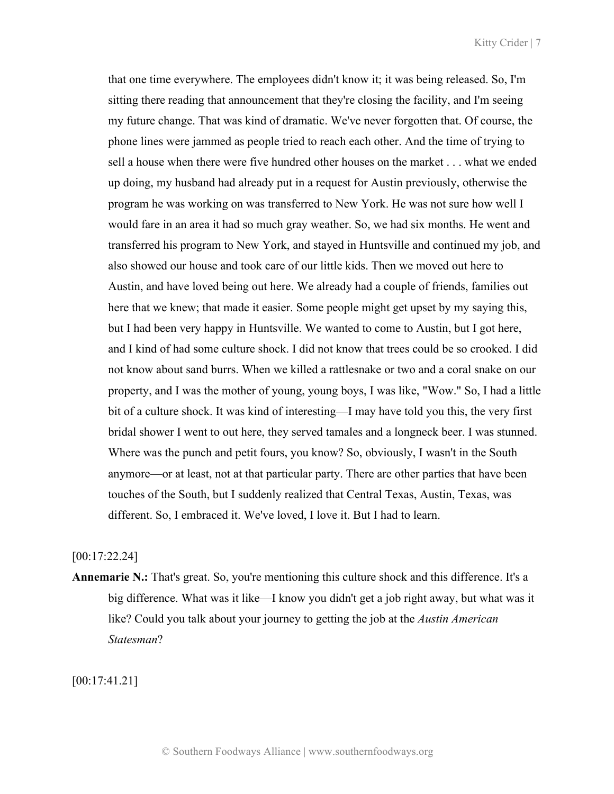that one time everywhere. The employees didn't know it; it was being released. So, I'm sitting there reading that announcement that they're closing the facility, and I'm seeing my future change. That was kind of dramatic. We've never forgotten that. Of course, the phone lines were jammed as people tried to reach each other. And the time of trying to sell a house when there were five hundred other houses on the market . . . what we ended up doing, my husband had already put in a request for Austin previously, otherwise the program he was working on was transferred to New York. He was not sure how well I would fare in an area it had so much gray weather. So, we had six months. He went and transferred his program to New York, and stayed in Huntsville and continued my job, and also showed our house and took care of our little kids. Then we moved out here to Austin, and have loved being out here. We already had a couple of friends, families out here that we knew; that made it easier. Some people might get upset by my saying this, but I had been very happy in Huntsville. We wanted to come to Austin, but I got here, and I kind of had some culture shock. I did not know that trees could be so crooked. I did not know about sand burrs. When we killed a rattlesnake or two and a coral snake on our property, and I was the mother of young, young boys, I was like, "Wow." So, I had a little bit of a culture shock. It was kind of interesting—I may have told you this, the very first bridal shower I went to out here, they served tamales and a longneck beer. I was stunned. Where was the punch and petit fours, you know? So, obviously, I wasn't in the South anymore—or at least, not at that particular party. There are other parties that have been touches of the South, but I suddenly realized that Central Texas, Austin, Texas, was different. So, I embraced it. We've loved, I love it. But I had to learn.

# [00:17:22.24]

**Annemarie N.:** That's great. So, you're mentioning this culture shock and this difference. It's a big difference. What was it like—I know you didn't get a job right away, but what was it like? Could you talk about your journey to getting the job at the *Austin American Statesman*?

[00:17:41.21]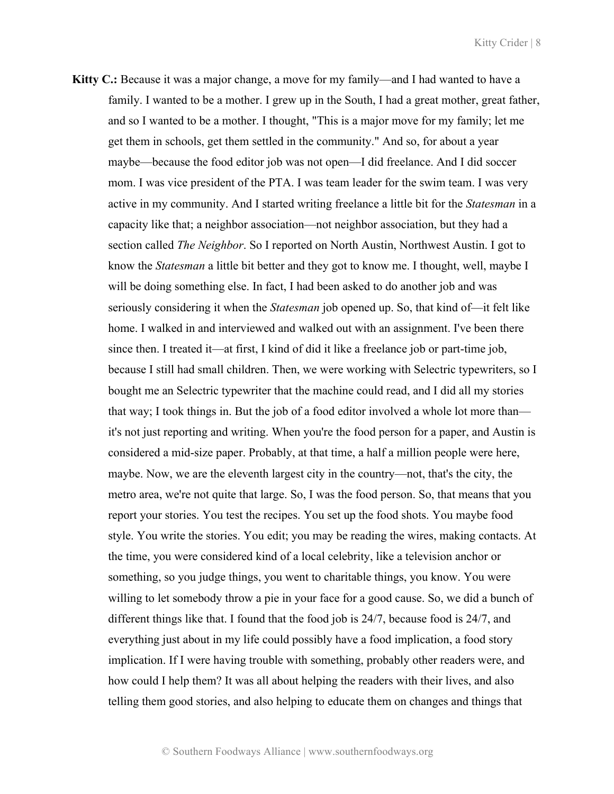**Kitty C.:** Because it was a major change, a move for my family—and I had wanted to have a family. I wanted to be a mother. I grew up in the South, I had a great mother, great father, and so I wanted to be a mother. I thought, "This is a major move for my family; let me get them in schools, get them settled in the community." And so, for about a year maybe—because the food editor job was not open—I did freelance. And I did soccer mom. I was vice president of the PTA. I was team leader for the swim team. I was very active in my community. And I started writing freelance a little bit for the *Statesman* in a capacity like that; a neighbor association—not neighbor association, but they had a section called *The Neighbor*. So I reported on North Austin, Northwest Austin. I got to know the *Statesman* a little bit better and they got to know me. I thought, well, maybe I will be doing something else. In fact, I had been asked to do another job and was seriously considering it when the *Statesman* job opened up. So, that kind of—it felt like home. I walked in and interviewed and walked out with an assignment. I've been there since then. I treated it—at first, I kind of did it like a freelance job or part-time job, because I still had small children. Then, we were working with Selectric typewriters, so I bought me an Selectric typewriter that the machine could read, and I did all my stories that way; I took things in. But the job of a food editor involved a whole lot more than it's not just reporting and writing. When you're the food person for a paper, and Austin is considered a mid-size paper. Probably, at that time, a half a million people were here, maybe. Now, we are the eleventh largest city in the country—not, that's the city, the metro area, we're not quite that large. So, I was the food person. So, that means that you report your stories. You test the recipes. You set up the food shots. You maybe food style. You write the stories. You edit; you may be reading the wires, making contacts. At the time, you were considered kind of a local celebrity, like a television anchor or something, so you judge things, you went to charitable things, you know. You were willing to let somebody throw a pie in your face for a good cause. So, we did a bunch of different things like that. I found that the food job is 24/7, because food is 24/7, and everything just about in my life could possibly have a food implication, a food story implication. If I were having trouble with something, probably other readers were, and how could I help them? It was all about helping the readers with their lives, and also telling them good stories, and also helping to educate them on changes and things that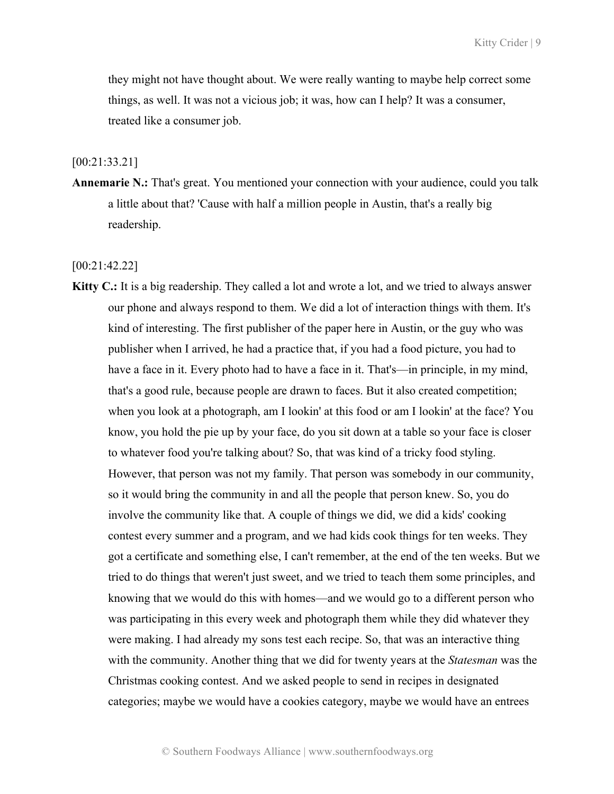they might not have thought about. We were really wanting to maybe help correct some things, as well. It was not a vicious job; it was, how can I help? It was a consumer, treated like a consumer job.

### [00:21:33.21]

**Annemarie N.:** That's great. You mentioned your connection with your audience, could you talk a little about that? 'Cause with half a million people in Austin, that's a really big readership.

### [00:21:42.22]

**Kitty C.:** It is a big readership. They called a lot and wrote a lot, and we tried to always answer our phone and always respond to them. We did a lot of interaction things with them. It's kind of interesting. The first publisher of the paper here in Austin, or the guy who was publisher when I arrived, he had a practice that, if you had a food picture, you had to have a face in it. Every photo had to have a face in it. That's—in principle, in my mind, that's a good rule, because people are drawn to faces. But it also created competition; when you look at a photograph, am I lookin' at this food or am I lookin' at the face? You know, you hold the pie up by your face, do you sit down at a table so your face is closer to whatever food you're talking about? So, that was kind of a tricky food styling. However, that person was not my family. That person was somebody in our community, so it would bring the community in and all the people that person knew. So, you do involve the community like that. A couple of things we did, we did a kids' cooking contest every summer and a program, and we had kids cook things for ten weeks. They got a certificate and something else, I can't remember, at the end of the ten weeks. But we tried to do things that weren't just sweet, and we tried to teach them some principles, and knowing that we would do this with homes—and we would go to a different person who was participating in this every week and photograph them while they did whatever they were making. I had already my sons test each recipe. So, that was an interactive thing with the community. Another thing that we did for twenty years at the *Statesman* was the Christmas cooking contest. And we asked people to send in recipes in designated categories; maybe we would have a cookies category, maybe we would have an entrees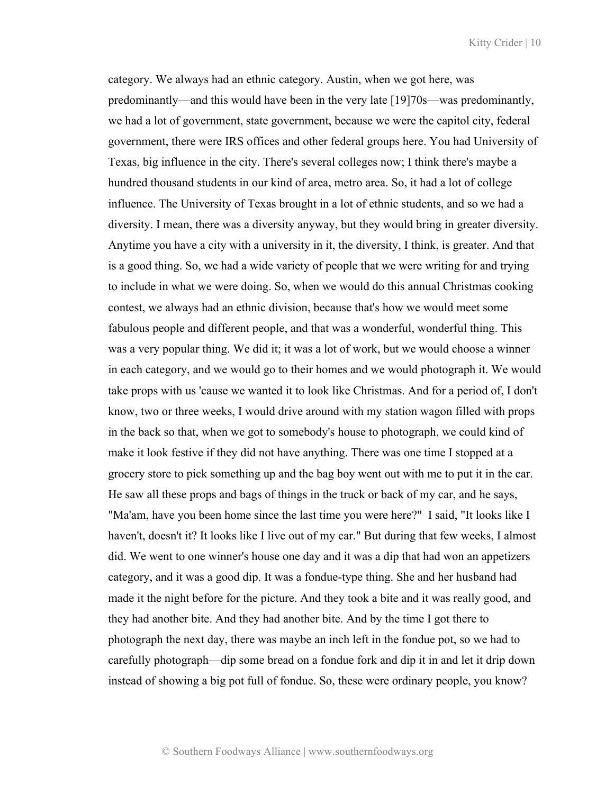category. We always had an ethnic category. Austin, when we got here, was predominantly—and this would have been in the very late [19]70s—was predominantly, we had a lot of government, state government, because we were the capitol city, federal government, there were IRS offices and other federal groups here. You had University of Texas, big influence in the city. There's several colleges now; I think there's maybe a hundred thousand students in our kind of area, metro area. So, it had a lot of college influence. The University of Texas brought in a lot of ethnic students, and so we had a diversity. I mean, there was a diversity anyway, but they would bring in greater diversity. Anytime you have a city with a university in it, the diversity, I think, is greater. And that is a good thing. So, we had a wide variety of people that we were writing for and trying to include in what we were doing. So, when we would do this annual Christmas cooking contest, we always had an ethnic division, because that's how we would meet some fabulous people and different people, and that was a wonderful, wonderful thing. This was a very popular thing. We did it; it was a lot of work, but we would choose a winner in each category, and we would go to their homes and we would photograph it. We would take props with us 'cause we wanted it to look like Christmas. And for a period of, I don't know, two or three weeks, I would drive around with my station wagon filled with props in the back so that, when we got to somebody's house to photograph, we could kind of make it look festive if they did not have anything. There was one time I stopped at a grocery store to pick something up and the bag boy went out with me to put it in the car. He saw all these props and bags of things in the truck or back of my car, and he says, "Ma'am, have you been home since the last time you were here?" I said, "It looks like I haven't, doesn't it? It looks like I live out of my car." But during that few weeks, I almost did. We went to one winner's house one day and it was a dip that had won an appetizers category, and it was a good dip. It was a fondue-type thing. She and her husband had made it the night before for the picture. And they took a bite and it was really good, and they had another bite. And they had another bite. And by the time I got there to photograph the next day, there was maybe an inch left in the fondue pot, so we had to carefully photograph—dip some bread on a fondue fork and dip it in and let it drip down instead of showing a big pot full of fondue. So, these were ordinary people, you know?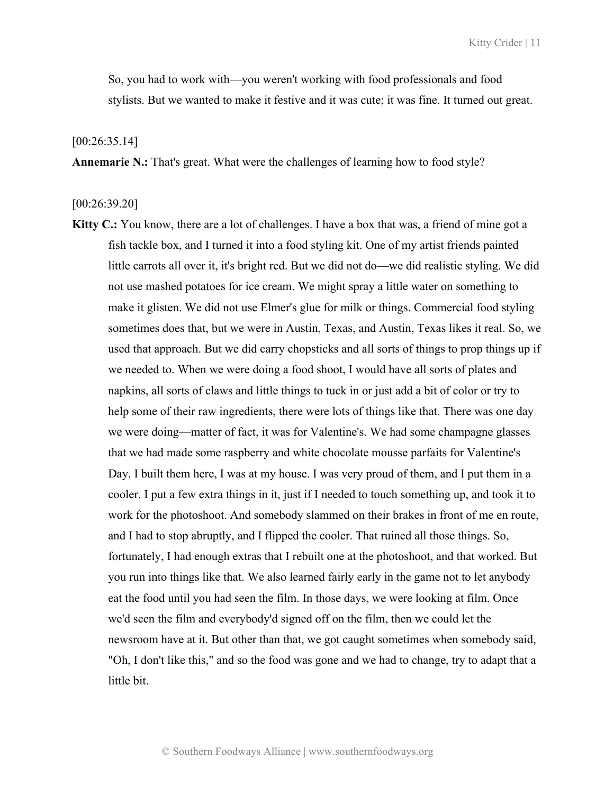So, you had to work with—you weren't working with food professionals and food stylists. But we wanted to make it festive and it was cute; it was fine. It turned out great.

### [00:26:35.14]

**Annemarie N.:** That's great. What were the challenges of learning how to food style?

### [00:26:39.20]

**Kitty C.:** You know, there are a lot of challenges. I have a box that was, a friend of mine got a fish tackle box, and I turned it into a food styling kit. One of my artist friends painted little carrots all over it, it's bright red. But we did not do—we did realistic styling. We did not use mashed potatoes for ice cream. We might spray a little water on something to make it glisten. We did not use Elmer's glue for milk or things. Commercial food styling sometimes does that, but we were in Austin, Texas, and Austin, Texas likes it real. So, we used that approach. But we did carry chopsticks and all sorts of things to prop things up if we needed to. When we were doing a food shoot, I would have all sorts of plates and napkins, all sorts of claws and little things to tuck in or just add a bit of color or try to help some of their raw ingredients, there were lots of things like that. There was one day we were doing—matter of fact, it was for Valentine's. We had some champagne glasses that we had made some raspberry and white chocolate mousse parfaits for Valentine's Day. I built them here, I was at my house. I was very proud of them, and I put them in a cooler. I put a few extra things in it, just if I needed to touch something up, and took it to work for the photoshoot. And somebody slammed on their brakes in front of me en route, and I had to stop abruptly, and I flipped the cooler. That ruined all those things. So, fortunately, I had enough extras that I rebuilt one at the photoshoot, and that worked. But you run into things like that. We also learned fairly early in the game not to let anybody eat the food until you had seen the film. In those days, we were looking at film. Once we'd seen the film and everybody'd signed off on the film, then we could let the newsroom have at it. But other than that, we got caught sometimes when somebody said, "Oh, I don't like this," and so the food was gone and we had to change, try to adapt that a little bit.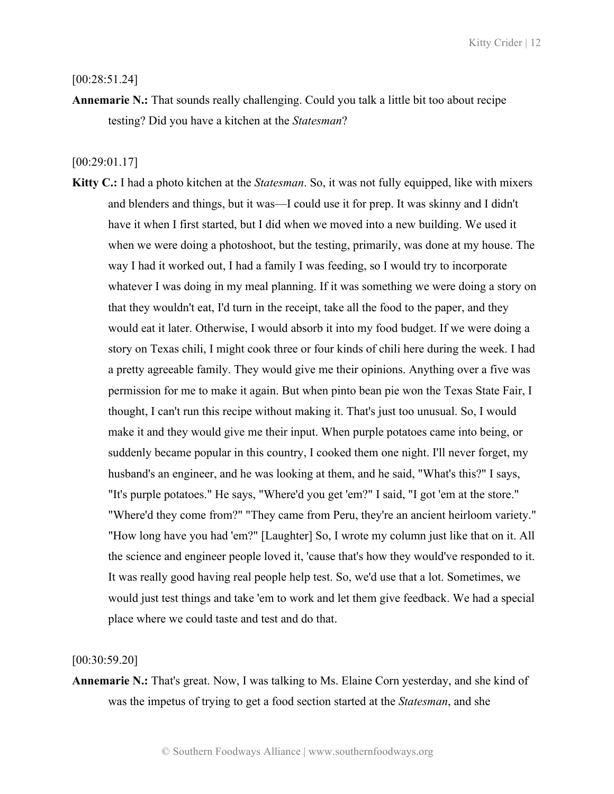[00:28:51.24]

**Annemarie N.:** That sounds really challenging. Could you talk a little bit too about recipe testing? Did you have a kitchen at the *Statesman*?

[00:29:01.17]

**Kitty C.:** I had a photo kitchen at the *Statesman*. So, it was not fully equipped, like with mixers and blenders and things, but it was—I could use it for prep. It was skinny and I didn't have it when I first started, but I did when we moved into a new building. We used it when we were doing a photoshoot, but the testing, primarily, was done at my house. The way I had it worked out, I had a family I was feeding, so I would try to incorporate whatever I was doing in my meal planning. If it was something we were doing a story on that they wouldn't eat, I'd turn in the receipt, take all the food to the paper, and they would eat it later. Otherwise, I would absorb it into my food budget. If we were doing a story on Texas chili, I might cook three or four kinds of chili here during the week. I had a pretty agreeable family. They would give me their opinions. Anything over a five was permission for me to make it again. But when pinto bean pie won the Texas State Fair, I thought, I can't run this recipe without making it. That's just too unusual. So, I would make it and they would give me their input. When purple potatoes came into being, or suddenly became popular in this country, I cooked them one night. I'll never forget, my husband's an engineer, and he was looking at them, and he said, "What's this?" I says, "It's purple potatoes." He says, "Where'd you get 'em?" I said, "I got 'em at the store." "Where'd they come from?" "They came from Peru, they're an ancient heirloom variety." "How long have you had 'em?" [Laughter] So, I wrote my column just like that on it. All the science and engineer people loved it, 'cause that's how they would've responded to it. It was really good having real people help test. So, we'd use that a lot. Sometimes, we would just test things and take 'em to work and let them give feedback. We had a special place where we could taste and test and do that.

[00:30:59.20]

**Annemarie N.:** That's great. Now, I was talking to Ms. Elaine Corn yesterday, and she kind of was the impetus of trying to get a food section started at the *Statesman*, and she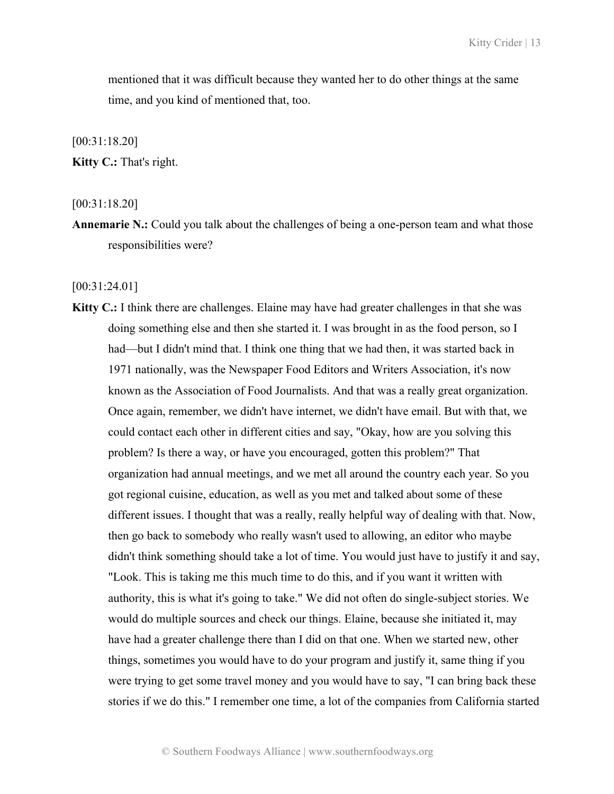mentioned that it was difficult because they wanted her to do other things at the same time, and you kind of mentioned that, too.

[00:31:18.20]

**Kitty C.:** That's right.

[00:31:18.20]

**Annemarie N.:** Could you talk about the challenges of being a one-person team and what those responsibilities were?

[00:31:24.01]

**Kitty C.:** I think there are challenges. Elaine may have had greater challenges in that she was doing something else and then she started it. I was brought in as the food person, so I had—but I didn't mind that. I think one thing that we had then, it was started back in 1971 nationally, was the Newspaper Food Editors and Writers Association, it's now known as the Association of Food Journalists. And that was a really great organization. Once again, remember, we didn't have internet, we didn't have email. But with that, we could contact each other in different cities and say, "Okay, how are you solving this problem? Is there a way, or have you encouraged, gotten this problem?" That organization had annual meetings, and we met all around the country each year. So you got regional cuisine, education, as well as you met and talked about some of these different issues. I thought that was a really, really helpful way of dealing with that. Now, then go back to somebody who really wasn't used to allowing, an editor who maybe didn't think something should take a lot of time. You would just have to justify it and say, "Look. This is taking me this much time to do this, and if you want it written with authority, this is what it's going to take." We did not often do single-subject stories. We would do multiple sources and check our things. Elaine, because she initiated it, may have had a greater challenge there than I did on that one. When we started new, other things, sometimes you would have to do your program and justify it, same thing if you were trying to get some travel money and you would have to say, "I can bring back these stories if we do this." I remember one time, a lot of the companies from California started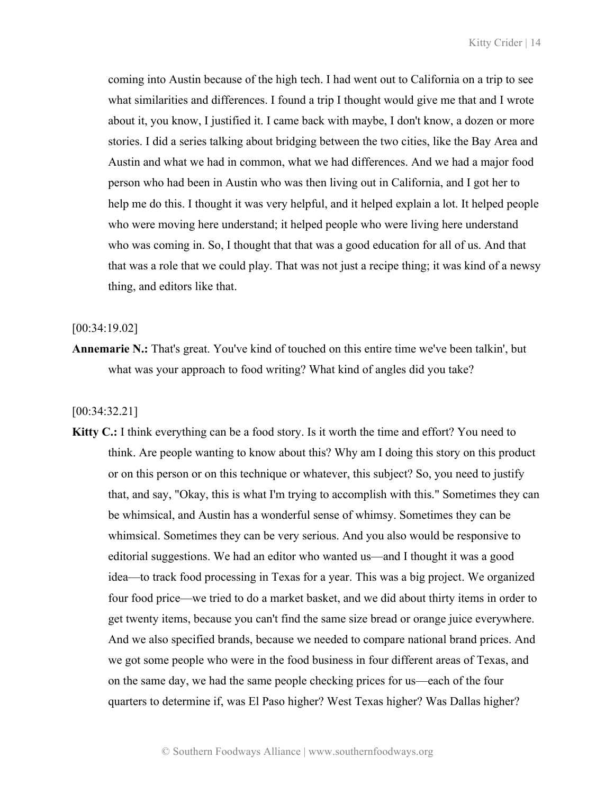coming into Austin because of the high tech. I had went out to California on a trip to see what similarities and differences. I found a trip I thought would give me that and I wrote about it, you know, I justified it. I came back with maybe, I don't know, a dozen or more stories. I did a series talking about bridging between the two cities, like the Bay Area and Austin and what we had in common, what we had differences. And we had a major food person who had been in Austin who was then living out in California, and I got her to help me do this. I thought it was very helpful, and it helped explain a lot. It helped people who were moving here understand; it helped people who were living here understand who was coming in. So, I thought that that was a good education for all of us. And that that was a role that we could play. That was not just a recipe thing; it was kind of a newsy thing, and editors like that.

[00:34:19.02]

**Annemarie N.:** That's great. You've kind of touched on this entire time we've been talkin', but what was your approach to food writing? What kind of angles did you take?

[00:34:32.21]

**Kitty C.:** I think everything can be a food story. Is it worth the time and effort? You need to think. Are people wanting to know about this? Why am I doing this story on this product or on this person or on this technique or whatever, this subject? So, you need to justify that, and say, "Okay, this is what I'm trying to accomplish with this." Sometimes they can be whimsical, and Austin has a wonderful sense of whimsy. Sometimes they can be whimsical. Sometimes they can be very serious. And you also would be responsive to editorial suggestions. We had an editor who wanted us—and I thought it was a good idea—to track food processing in Texas for a year. This was a big project. We organized four food price—we tried to do a market basket, and we did about thirty items in order to get twenty items, because you can't find the same size bread or orange juice everywhere. And we also specified brands, because we needed to compare national brand prices. And we got some people who were in the food business in four different areas of Texas, and on the same day, we had the same people checking prices for us—each of the four quarters to determine if, was El Paso higher? West Texas higher? Was Dallas higher?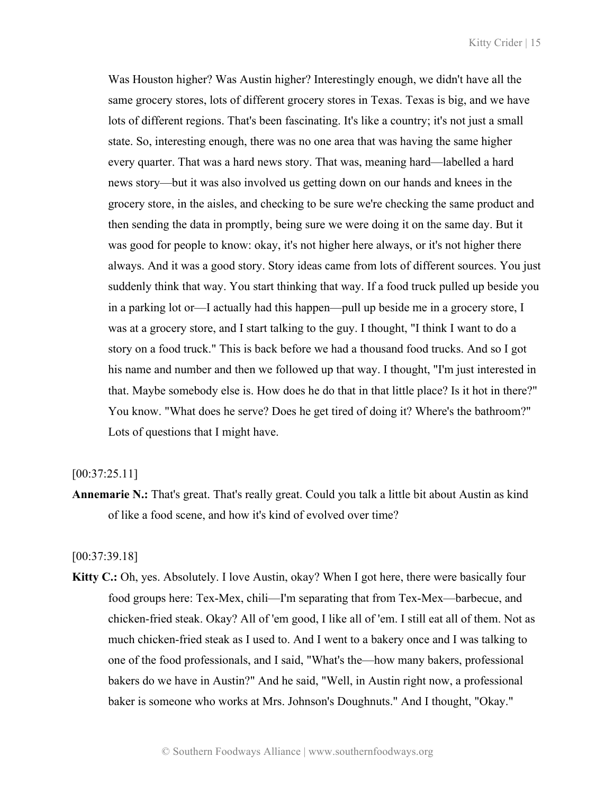Was Houston higher? Was Austin higher? Interestingly enough, we didn't have all the same grocery stores, lots of different grocery stores in Texas. Texas is big, and we have lots of different regions. That's been fascinating. It's like a country; it's not just a small state. So, interesting enough, there was no one area that was having the same higher every quarter. That was a hard news story. That was, meaning hard—labelled a hard news story—but it was also involved us getting down on our hands and knees in the grocery store, in the aisles, and checking to be sure we're checking the same product and then sending the data in promptly, being sure we were doing it on the same day. But it was good for people to know: okay, it's not higher here always, or it's not higher there always. And it was a good story. Story ideas came from lots of different sources. You just suddenly think that way. You start thinking that way. If a food truck pulled up beside you in a parking lot or—I actually had this happen—pull up beside me in a grocery store, I was at a grocery store, and I start talking to the guy. I thought, "I think I want to do a story on a food truck." This is back before we had a thousand food trucks. And so I got his name and number and then we followed up that way. I thought, "I'm just interested in that. Maybe somebody else is. How does he do that in that little place? Is it hot in there?" You know. "What does he serve? Does he get tired of doing it? Where's the bathroom?" Lots of questions that I might have.

## [00:37:25.11]

**Annemarie N.:** That's great. That's really great. Could you talk a little bit about Austin as kind of like a food scene, and how it's kind of evolved over time?

[00:37:39.18]

**Kitty C.:** Oh, yes. Absolutely. I love Austin, okay? When I got here, there were basically four food groups here: Tex-Mex, chili—I'm separating that from Tex-Mex—barbecue, and chicken-fried steak. Okay? All of 'em good, I like all of 'em. I still eat all of them. Not as much chicken-fried steak as I used to. And I went to a bakery once and I was talking to one of the food professionals, and I said, "What's the—how many bakers, professional bakers do we have in Austin?" And he said, "Well, in Austin right now, a professional baker is someone who works at Mrs. Johnson's Doughnuts." And I thought, "Okay."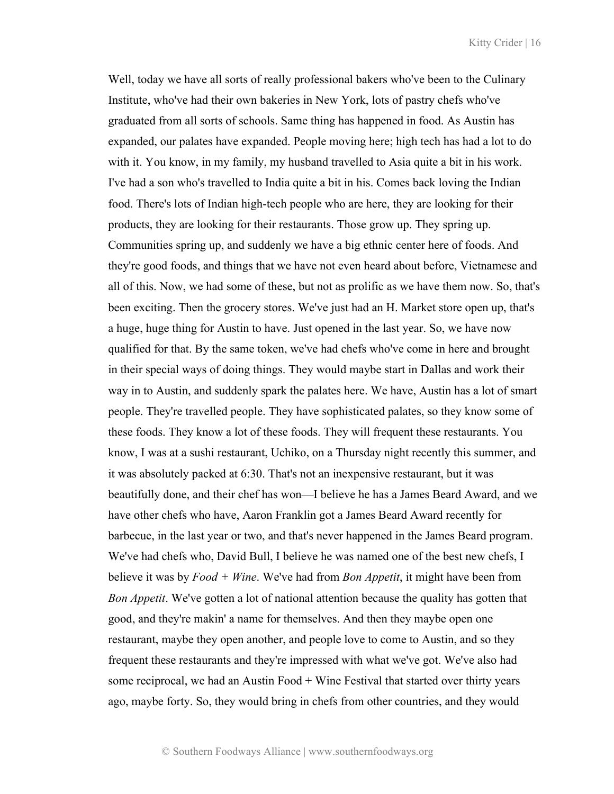Well, today we have all sorts of really professional bakers who've been to the Culinary Institute, who've had their own bakeries in New York, lots of pastry chefs who've graduated from all sorts of schools. Same thing has happened in food. As Austin has expanded, our palates have expanded. People moving here; high tech has had a lot to do with it. You know, in my family, my husband travelled to Asia quite a bit in his work. I've had a son who's travelled to India quite a bit in his. Comes back loving the Indian food. There's lots of Indian high-tech people who are here, they are looking for their products, they are looking for their restaurants. Those grow up. They spring up. Communities spring up, and suddenly we have a big ethnic center here of foods. And they're good foods, and things that we have not even heard about before, Vietnamese and all of this. Now, we had some of these, but not as prolific as we have them now. So, that's been exciting. Then the grocery stores. We've just had an H. Market store open up, that's a huge, huge thing for Austin to have. Just opened in the last year. So, we have now qualified for that. By the same token, we've had chefs who've come in here and brought in their special ways of doing things. They would maybe start in Dallas and work their way in to Austin, and suddenly spark the palates here. We have, Austin has a lot of smart people. They're travelled people. They have sophisticated palates, so they know some of these foods. They know a lot of these foods. They will frequent these restaurants. You know, I was at a sushi restaurant, Uchiko, on a Thursday night recently this summer, and it was absolutely packed at 6:30. That's not an inexpensive restaurant, but it was beautifully done, and their chef has won—I believe he has a James Beard Award, and we have other chefs who have, Aaron Franklin got a James Beard Award recently for barbecue, in the last year or two, and that's never happened in the James Beard program. We've had chefs who, David Bull, I believe he was named one of the best new chefs, I believe it was by *Food + Wine*. We've had from *Bon Appetit*, it might have been from *Bon Appetit*. We've gotten a lot of national attention because the quality has gotten that good, and they're makin' a name for themselves. And then they maybe open one restaurant, maybe they open another, and people love to come to Austin, and so they frequent these restaurants and they're impressed with what we've got. We've also had some reciprocal, we had an Austin Food + Wine Festival that started over thirty years ago, maybe forty. So, they would bring in chefs from other countries, and they would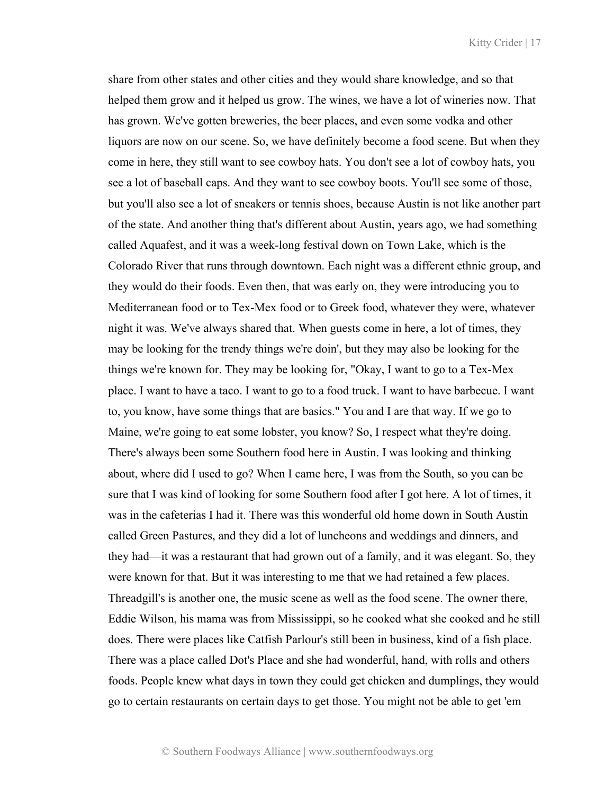share from other states and other cities and they would share knowledge, and so that helped them grow and it helped us grow. The wines, we have a lot of wineries now. That has grown. We've gotten breweries, the beer places, and even some vodka and other liquors are now on our scene. So, we have definitely become a food scene. But when they come in here, they still want to see cowboy hats. You don't see a lot of cowboy hats, you see a lot of baseball caps. And they want to see cowboy boots. You'll see some of those, but you'll also see a lot of sneakers or tennis shoes, because Austin is not like another part of the state. And another thing that's different about Austin, years ago, we had something called Aquafest, and it was a week-long festival down on Town Lake, which is the Colorado River that runs through downtown. Each night was a different ethnic group, and they would do their foods. Even then, that was early on, they were introducing you to Mediterranean food or to Tex-Mex food or to Greek food, whatever they were, whatever night it was. We've always shared that. When guests come in here, a lot of times, they may be looking for the trendy things we're doin', but they may also be looking for the things we're known for. They may be looking for, "Okay, I want to go to a Tex-Mex place. I want to have a taco. I want to go to a food truck. I want to have barbecue. I want to, you know, have some things that are basics." You and I are that way. If we go to Maine, we're going to eat some lobster, you know? So, I respect what they're doing. There's always been some Southern food here in Austin. I was looking and thinking about, where did I used to go? When I came here, I was from the South, so you can be sure that I was kind of looking for some Southern food after I got here. A lot of times, it was in the cafeterias I had it. There was this wonderful old home down in South Austin called Green Pastures, and they did a lot of luncheons and weddings and dinners, and they had—it was a restaurant that had grown out of a family, and it was elegant. So, they were known for that. But it was interesting to me that we had retained a few places. Threadgill's is another one, the music scene as well as the food scene. The owner there, Eddie Wilson, his mama was from Mississippi, so he cooked what she cooked and he still does. There were places like Catfish Parlour's still been in business, kind of a fish place. There was a place called Dot's Place and she had wonderful, hand, with rolls and others foods. People knew what days in town they could get chicken and dumplings, they would go to certain restaurants on certain days to get those. You might not be able to get 'em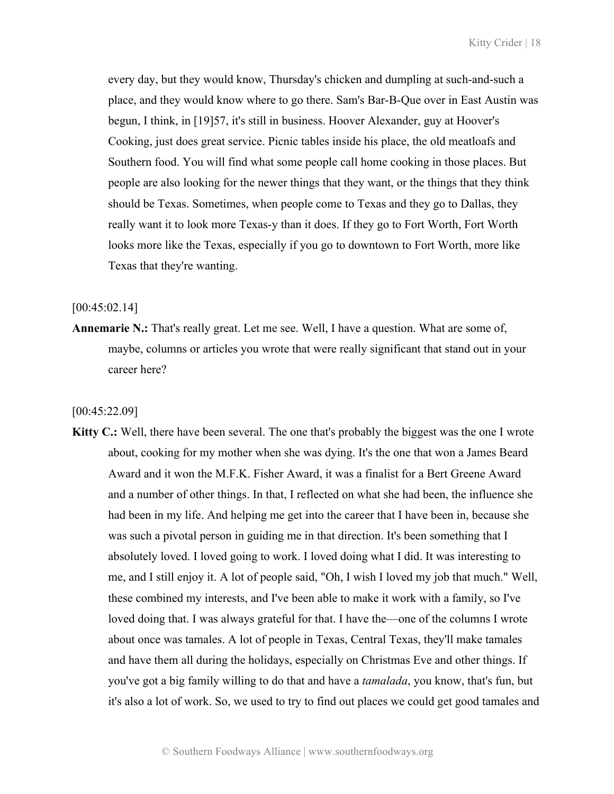every day, but they would know, Thursday's chicken and dumpling at such-and-such a place, and they would know where to go there. Sam's Bar-B-Que over in East Austin was begun, I think, in [19]57, it's still in business. Hoover Alexander, guy at Hoover's Cooking, just does great service. Picnic tables inside his place, the old meatloafs and Southern food. You will find what some people call home cooking in those places. But people are also looking for the newer things that they want, or the things that they think should be Texas. Sometimes, when people come to Texas and they go to Dallas, they really want it to look more Texas-y than it does. If they go to Fort Worth, Fort Worth looks more like the Texas, especially if you go to downtown to Fort Worth, more like Texas that they're wanting.

#### $[00:45:02.14]$

**Annemarie N.:** That's really great. Let me see. Well, I have a question. What are some of, maybe, columns or articles you wrote that were really significant that stand out in your career here?

[00:45:22.09]

**Kitty C.:** Well, there have been several. The one that's probably the biggest was the one I wrote about, cooking for my mother when she was dying. It's the one that won a James Beard Award and it won the M.F.K. Fisher Award, it was a finalist for a Bert Greene Award and a number of other things. In that, I reflected on what she had been, the influence she had been in my life. And helping me get into the career that I have been in, because she was such a pivotal person in guiding me in that direction. It's been something that I absolutely loved. I loved going to work. I loved doing what I did. It was interesting to me, and I still enjoy it. A lot of people said, "Oh, I wish I loved my job that much." Well, these combined my interests, and I've been able to make it work with a family, so I've loved doing that. I was always grateful for that. I have the—one of the columns I wrote about once was tamales. A lot of people in Texas, Central Texas, they'll make tamales and have them all during the holidays, especially on Christmas Eve and other things. If you've got a big family willing to do that and have a *tamalada*, you know, that's fun, but it's also a lot of work. So, we used to try to find out places we could get good tamales and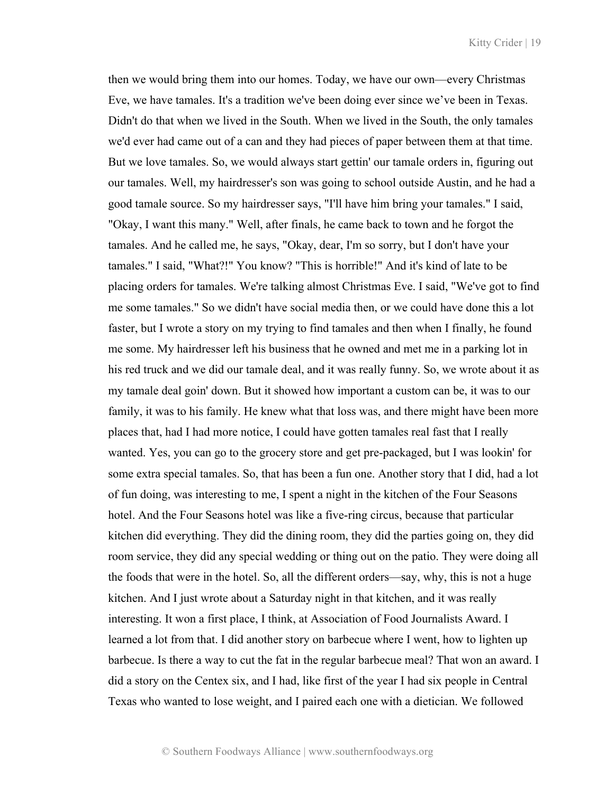then we would bring them into our homes. Today, we have our own—every Christmas Eve, we have tamales. It's a tradition we've been doing ever since we've been in Texas. Didn't do that when we lived in the South. When we lived in the South, the only tamales we'd ever had came out of a can and they had pieces of paper between them at that time. But we love tamales. So, we would always start gettin' our tamale orders in, figuring out our tamales. Well, my hairdresser's son was going to school outside Austin, and he had a good tamale source. So my hairdresser says, "I'll have him bring your tamales." I said, "Okay, I want this many." Well, after finals, he came back to town and he forgot the tamales. And he called me, he says, "Okay, dear, I'm so sorry, but I don't have your tamales." I said, "What?!" You know? "This is horrible!" And it's kind of late to be placing orders for tamales. We're talking almost Christmas Eve. I said, "We've got to find me some tamales." So we didn't have social media then, or we could have done this a lot faster, but I wrote a story on my trying to find tamales and then when I finally, he found me some. My hairdresser left his business that he owned and met me in a parking lot in his red truck and we did our tamale deal, and it was really funny. So, we wrote about it as my tamale deal goin' down. But it showed how important a custom can be, it was to our family, it was to his family. He knew what that loss was, and there might have been more places that, had I had more notice, I could have gotten tamales real fast that I really wanted. Yes, you can go to the grocery store and get pre-packaged, but I was lookin' for some extra special tamales. So, that has been a fun one. Another story that I did, had a lot of fun doing, was interesting to me, I spent a night in the kitchen of the Four Seasons hotel. And the Four Seasons hotel was like a five-ring circus, because that particular kitchen did everything. They did the dining room, they did the parties going on, they did room service, they did any special wedding or thing out on the patio. They were doing all the foods that were in the hotel. So, all the different orders—say, why, this is not a huge kitchen. And I just wrote about a Saturday night in that kitchen, and it was really interesting. It won a first place, I think, at Association of Food Journalists Award. I learned a lot from that. I did another story on barbecue where I went, how to lighten up barbecue. Is there a way to cut the fat in the regular barbecue meal? That won an award. I did a story on the Centex six, and I had, like first of the year I had six people in Central Texas who wanted to lose weight, and I paired each one with a dietician. We followed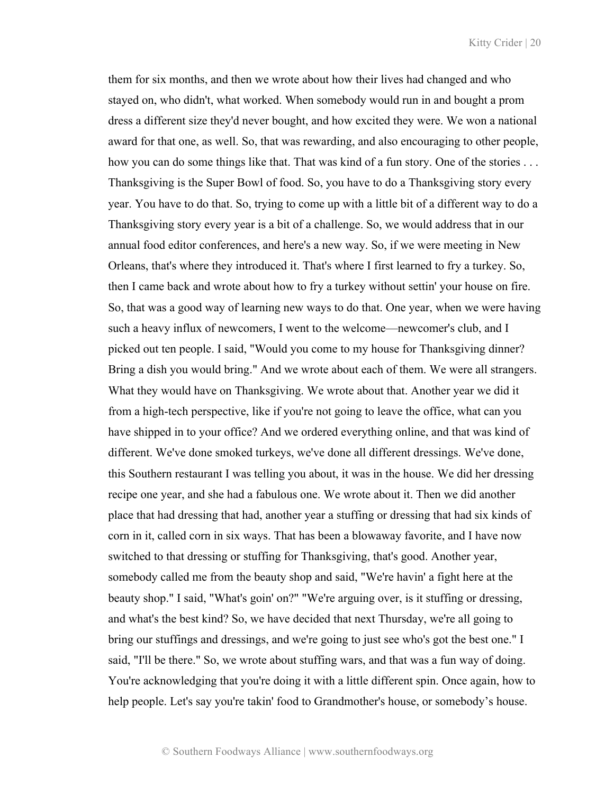them for six months, and then we wrote about how their lives had changed and who stayed on, who didn't, what worked. When somebody would run in and bought a prom dress a different size they'd never bought, and how excited they were. We won a national award for that one, as well. So, that was rewarding, and also encouraging to other people, how you can do some things like that. That was kind of a fun story. One of the stories ... Thanksgiving is the Super Bowl of food. So, you have to do a Thanksgiving story every year. You have to do that. So, trying to come up with a little bit of a different way to do a Thanksgiving story every year is a bit of a challenge. So, we would address that in our annual food editor conferences, and here's a new way. So, if we were meeting in New Orleans, that's where they introduced it. That's where I first learned to fry a turkey. So, then I came back and wrote about how to fry a turkey without settin' your house on fire. So, that was a good way of learning new ways to do that. One year, when we were having such a heavy influx of newcomers, I went to the welcome—newcomer's club, and I picked out ten people. I said, "Would you come to my house for Thanksgiving dinner? Bring a dish you would bring." And we wrote about each of them. We were all strangers. What they would have on Thanksgiving. We wrote about that. Another year we did it from a high-tech perspective, like if you're not going to leave the office, what can you have shipped in to your office? And we ordered everything online, and that was kind of different. We've done smoked turkeys, we've done all different dressings. We've done, this Southern restaurant I was telling you about, it was in the house. We did her dressing recipe one year, and she had a fabulous one. We wrote about it. Then we did another place that had dressing that had, another year a stuffing or dressing that had six kinds of corn in it, called corn in six ways. That has been a blowaway favorite, and I have now switched to that dressing or stuffing for Thanksgiving, that's good. Another year, somebody called me from the beauty shop and said, "We're havin' a fight here at the beauty shop." I said, "What's goin' on?" "We're arguing over, is it stuffing or dressing, and what's the best kind? So, we have decided that next Thursday, we're all going to bring our stuffings and dressings, and we're going to just see who's got the best one." I said, "I'll be there." So, we wrote about stuffing wars, and that was a fun way of doing. You're acknowledging that you're doing it with a little different spin. Once again, how to help people. Let's say you're takin' food to Grandmother's house, or somebody's house.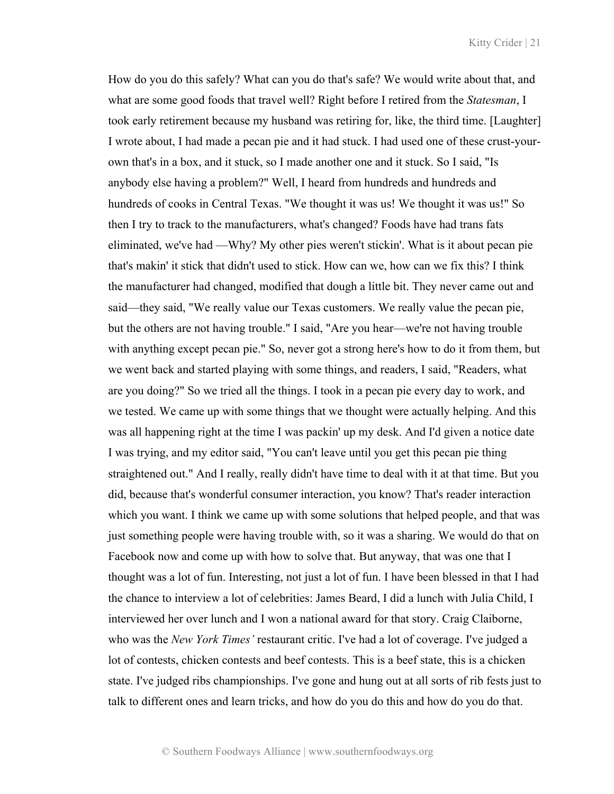How do you do this safely? What can you do that's safe? We would write about that, and what are some good foods that travel well? Right before I retired from the *Statesman*, I took early retirement because my husband was retiring for, like, the third time. [Laughter] I wrote about, I had made a pecan pie and it had stuck. I had used one of these crust-yourown that's in a box, and it stuck, so I made another one and it stuck. So I said, "Is anybody else having a problem?" Well, I heard from hundreds and hundreds and hundreds of cooks in Central Texas. "We thought it was us! We thought it was us!" So then I try to track to the manufacturers, what's changed? Foods have had trans fats eliminated, we've had —Why? My other pies weren't stickin'. What is it about pecan pie that's makin' it stick that didn't used to stick. How can we, how can we fix this? I think the manufacturer had changed, modified that dough a little bit. They never came out and said—they said, "We really value our Texas customers. We really value the pecan pie, but the others are not having trouble." I said, "Are you hear—we're not having trouble with anything except pecan pie." So, never got a strong here's how to do it from them, but we went back and started playing with some things, and readers, I said, "Readers, what are you doing?" So we tried all the things. I took in a pecan pie every day to work, and we tested. We came up with some things that we thought were actually helping. And this was all happening right at the time I was packin' up my desk. And I'd given a notice date I was trying, and my editor said, "You can't leave until you get this pecan pie thing straightened out." And I really, really didn't have time to deal with it at that time. But you did, because that's wonderful consumer interaction, you know? That's reader interaction which you want. I think we came up with some solutions that helped people, and that was just something people were having trouble with, so it was a sharing. We would do that on Facebook now and come up with how to solve that. But anyway, that was one that I thought was a lot of fun. Interesting, not just a lot of fun. I have been blessed in that I had the chance to interview a lot of celebrities: James Beard, I did a lunch with Julia Child, I interviewed her over lunch and I won a national award for that story. Craig Claiborne, who was the *New York Times'* restaurant critic. I've had a lot of coverage. I've judged a lot of contests, chicken contests and beef contests. This is a beef state, this is a chicken state. I've judged ribs championships. I've gone and hung out at all sorts of rib fests just to talk to different ones and learn tricks, and how do you do this and how do you do that.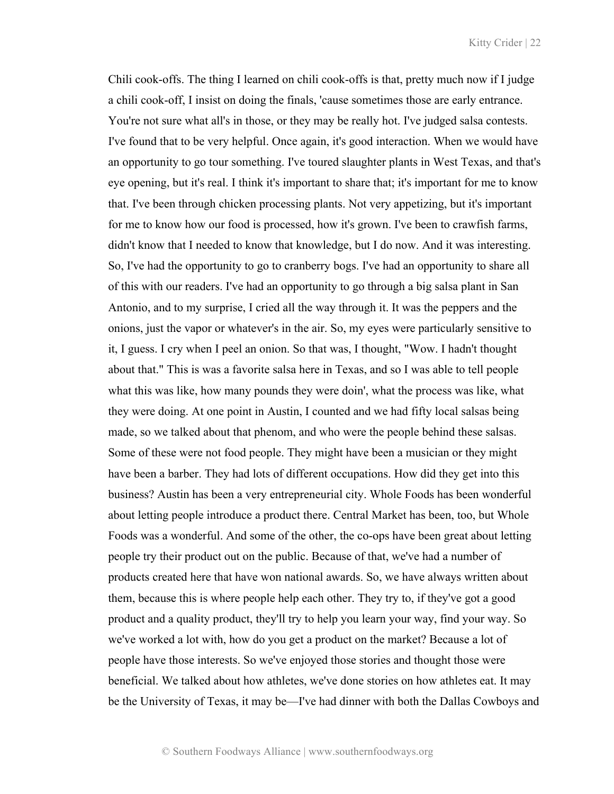Chili cook-offs. The thing I learned on chili cook-offs is that, pretty much now if I judge a chili cook-off, I insist on doing the finals, 'cause sometimes those are early entrance. You're not sure what all's in those, or they may be really hot. I've judged salsa contests. I've found that to be very helpful. Once again, it's good interaction. When we would have an opportunity to go tour something. I've toured slaughter plants in West Texas, and that's eye opening, but it's real. I think it's important to share that; it's important for me to know that. I've been through chicken processing plants. Not very appetizing, but it's important for me to know how our food is processed, how it's grown. I've been to crawfish farms, didn't know that I needed to know that knowledge, but I do now. And it was interesting. So, I've had the opportunity to go to cranberry bogs. I've had an opportunity to share all of this with our readers. I've had an opportunity to go through a big salsa plant in San Antonio, and to my surprise, I cried all the way through it. It was the peppers and the onions, just the vapor or whatever's in the air. So, my eyes were particularly sensitive to it, I guess. I cry when I peel an onion. So that was, I thought, "Wow. I hadn't thought about that." This is was a favorite salsa here in Texas, and so I was able to tell people what this was like, how many pounds they were doin', what the process was like, what they were doing. At one point in Austin, I counted and we had fifty local salsas being made, so we talked about that phenom, and who were the people behind these salsas. Some of these were not food people. They might have been a musician or they might have been a barber. They had lots of different occupations. How did they get into this business? Austin has been a very entrepreneurial city. Whole Foods has been wonderful about letting people introduce a product there. Central Market has been, too, but Whole Foods was a wonderful. And some of the other, the co-ops have been great about letting people try their product out on the public. Because of that, we've had a number of products created here that have won national awards. So, we have always written about them, because this is where people help each other. They try to, if they've got a good product and a quality product, they'll try to help you learn your way, find your way. So we've worked a lot with, how do you get a product on the market? Because a lot of people have those interests. So we've enjoyed those stories and thought those were beneficial. We talked about how athletes, we've done stories on how athletes eat. It may be the University of Texas, it may be—I've had dinner with both the Dallas Cowboys and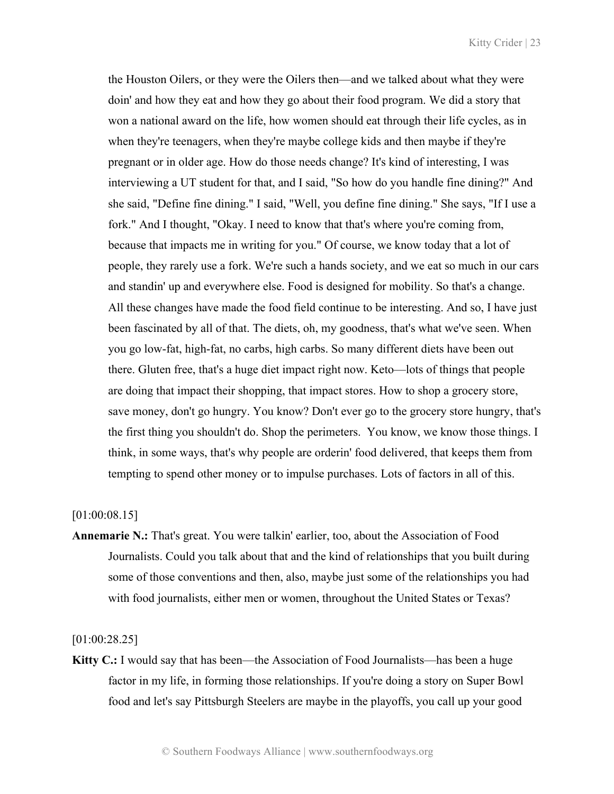the Houston Oilers, or they were the Oilers then—and we talked about what they were doin' and how they eat and how they go about their food program. We did a story that won a national award on the life, how women should eat through their life cycles, as in when they're teenagers, when they're maybe college kids and then maybe if they're pregnant or in older age. How do those needs change? It's kind of interesting, I was interviewing a UT student for that, and I said, "So how do you handle fine dining?" And she said, "Define fine dining." I said, "Well, you define fine dining." She says, "If I use a fork." And I thought, "Okay. I need to know that that's where you're coming from, because that impacts me in writing for you." Of course, we know today that a lot of people, they rarely use a fork. We're such a hands society, and we eat so much in our cars and standin' up and everywhere else. Food is designed for mobility. So that's a change. All these changes have made the food field continue to be interesting. And so, I have just been fascinated by all of that. The diets, oh, my goodness, that's what we've seen. When you go low-fat, high-fat, no carbs, high carbs. So many different diets have been out there. Gluten free, that's a huge diet impact right now. Keto—lots of things that people are doing that impact their shopping, that impact stores. How to shop a grocery store, save money, don't go hungry. You know? Don't ever go to the grocery store hungry, that's the first thing you shouldn't do. Shop the perimeters. You know, we know those things. I think, in some ways, that's why people are orderin' food delivered, that keeps them from tempting to spend other money or to impulse purchases. Lots of factors in all of this.

[01:00:08.15]

**Annemarie N.:** That's great. You were talkin' earlier, too, about the Association of Food Journalists. Could you talk about that and the kind of relationships that you built during some of those conventions and then, also, maybe just some of the relationships you had with food journalists, either men or women, throughout the United States or Texas?

[01:00:28.25]

**Kitty C.:** I would say that has been—the Association of Food Journalists—has been a huge factor in my life, in forming those relationships. If you're doing a story on Super Bowl food and let's say Pittsburgh Steelers are maybe in the playoffs, you call up your good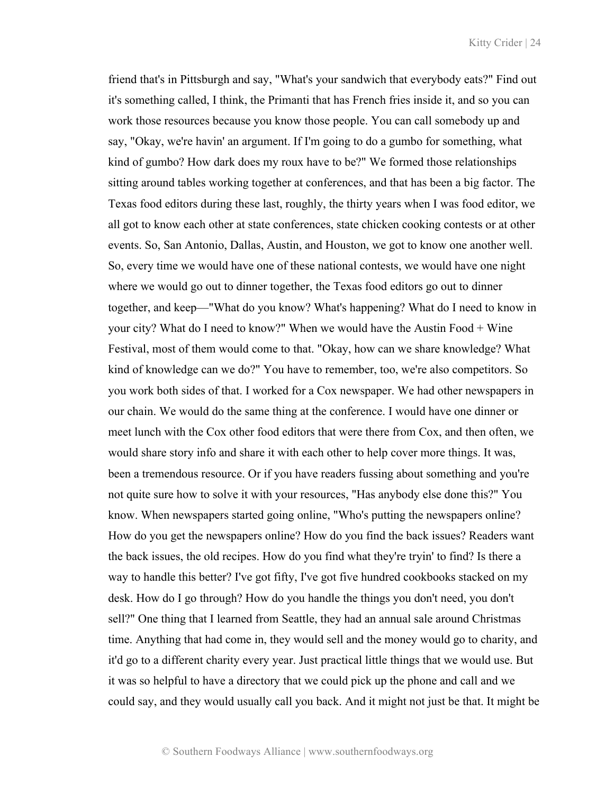friend that's in Pittsburgh and say, "What's your sandwich that everybody eats?" Find out it's something called, I think, the Primanti that has French fries inside it, and so you can work those resources because you know those people. You can call somebody up and say, "Okay, we're havin' an argument. If I'm going to do a gumbo for something, what kind of gumbo? How dark does my roux have to be?" We formed those relationships sitting around tables working together at conferences, and that has been a big factor. The Texas food editors during these last, roughly, the thirty years when I was food editor, we all got to know each other at state conferences, state chicken cooking contests or at other events. So, San Antonio, Dallas, Austin, and Houston, we got to know one another well. So, every time we would have one of these national contests, we would have one night where we would go out to dinner together, the Texas food editors go out to dinner together, and keep—"What do you know? What's happening? What do I need to know in your city? What do I need to know?" When we would have the Austin Food + Wine Festival, most of them would come to that. "Okay, how can we share knowledge? What kind of knowledge can we do?" You have to remember, too, we're also competitors. So you work both sides of that. I worked for a Cox newspaper. We had other newspapers in our chain. We would do the same thing at the conference. I would have one dinner or meet lunch with the Cox other food editors that were there from Cox, and then often, we would share story info and share it with each other to help cover more things. It was, been a tremendous resource. Or if you have readers fussing about something and you're not quite sure how to solve it with your resources, "Has anybody else done this?" You know. When newspapers started going online, "Who's putting the newspapers online? How do you get the newspapers online? How do you find the back issues? Readers want the back issues, the old recipes. How do you find what they're tryin' to find? Is there a way to handle this better? I've got fifty, I've got five hundred cookbooks stacked on my desk. How do I go through? How do you handle the things you don't need, you don't sell?" One thing that I learned from Seattle, they had an annual sale around Christmas time. Anything that had come in, they would sell and the money would go to charity, and it'd go to a different charity every year. Just practical little things that we would use. But it was so helpful to have a directory that we could pick up the phone and call and we could say, and they would usually call you back. And it might not just be that. It might be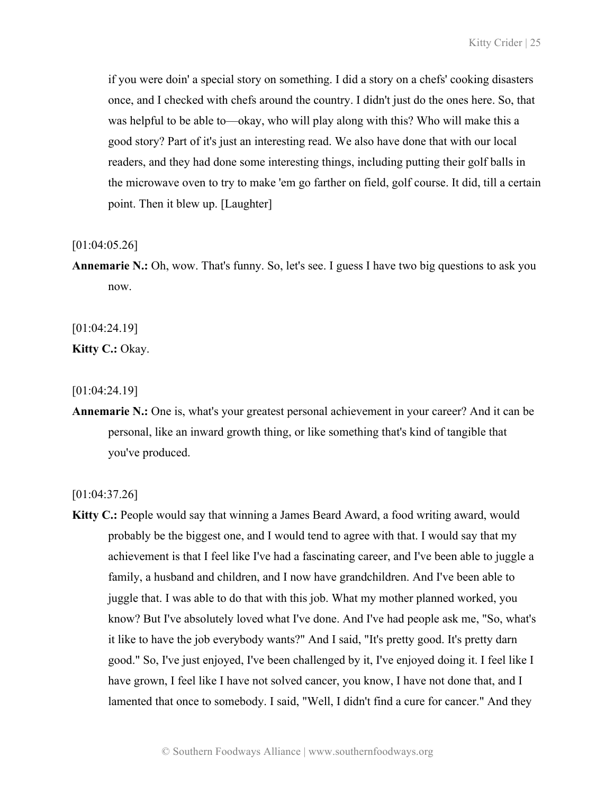if you were doin' a special story on something. I did a story on a chefs' cooking disasters once, and I checked with chefs around the country. I didn't just do the ones here. So, that was helpful to be able to—okay, who will play along with this? Who will make this a good story? Part of it's just an interesting read. We also have done that with our local readers, and they had done some interesting things, including putting their golf balls in the microwave oven to try to make 'em go farther on field, golf course. It did, till a certain point. Then it blew up. [Laughter]

[01:04:05.26]

**Annemarie N.:** Oh, wow. That's funny. So, let's see. I guess I have two big questions to ask you now.

[01:04:24.19]

**Kitty C.:** Okay.

[01:04:24.19]

**Annemarie N.:** One is, what's your greatest personal achievement in your career? And it can be personal, like an inward growth thing, or like something that's kind of tangible that you've produced.

[01:04:37.26]

**Kitty C.:** People would say that winning a James Beard Award, a food writing award, would probably be the biggest one, and I would tend to agree with that. I would say that my achievement is that I feel like I've had a fascinating career, and I've been able to juggle a family, a husband and children, and I now have grandchildren. And I've been able to juggle that. I was able to do that with this job. What my mother planned worked, you know? But I've absolutely loved what I've done. And I've had people ask me, "So, what's it like to have the job everybody wants?" And I said, "It's pretty good. It's pretty darn good." So, I've just enjoyed, I've been challenged by it, I've enjoyed doing it. I feel like I have grown, I feel like I have not solved cancer, you know, I have not done that, and I lamented that once to somebody. I said, "Well, I didn't find a cure for cancer." And they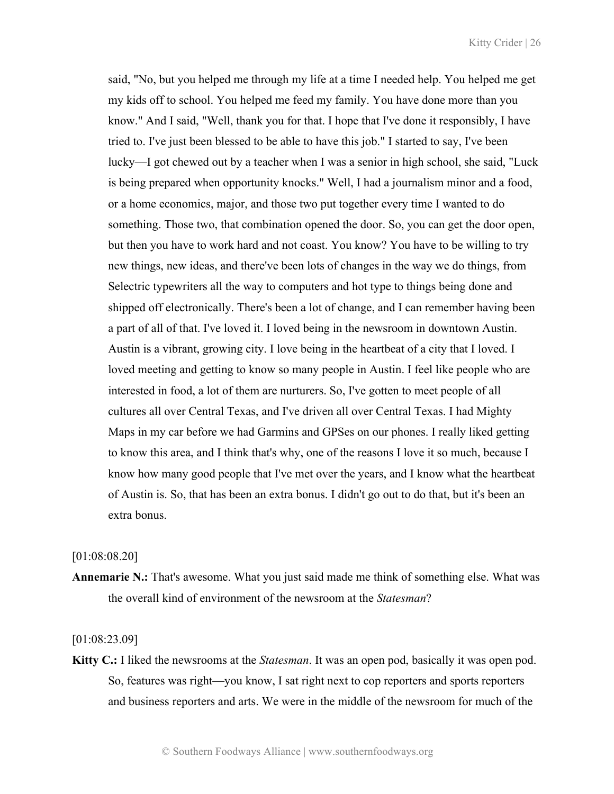said, "No, but you helped me through my life at a time I needed help. You helped me get my kids off to school. You helped me feed my family. You have done more than you know." And I said, "Well, thank you for that. I hope that I've done it responsibly, I have tried to. I've just been blessed to be able to have this job." I started to say, I've been lucky—I got chewed out by a teacher when I was a senior in high school, she said, "Luck is being prepared when opportunity knocks." Well, I had a journalism minor and a food, or a home economics, major, and those two put together every time I wanted to do something. Those two, that combination opened the door. So, you can get the door open, but then you have to work hard and not coast. You know? You have to be willing to try new things, new ideas, and there've been lots of changes in the way we do things, from Selectric typewriters all the way to computers and hot type to things being done and shipped off electronically. There's been a lot of change, and I can remember having been a part of all of that. I've loved it. I loved being in the newsroom in downtown Austin. Austin is a vibrant, growing city. I love being in the heartbeat of a city that I loved. I loved meeting and getting to know so many people in Austin. I feel like people who are interested in food, a lot of them are nurturers. So, I've gotten to meet people of all cultures all over Central Texas, and I've driven all over Central Texas. I had Mighty Maps in my car before we had Garmins and GPSes on our phones. I really liked getting to know this area, and I think that's why, one of the reasons I love it so much, because I know how many good people that I've met over the years, and I know what the heartbeat of Austin is. So, that has been an extra bonus. I didn't go out to do that, but it's been an extra bonus.

# [01:08:08.20]

**Annemarie N.:** That's awesome. What you just said made me think of something else. What was the overall kind of environment of the newsroom at the *Statesman*?

# [01:08:23.09]

**Kitty C.:** I liked the newsrooms at the *Statesman*. It was an open pod, basically it was open pod. So, features was right—you know, I sat right next to cop reporters and sports reporters and business reporters and arts. We were in the middle of the newsroom for much of the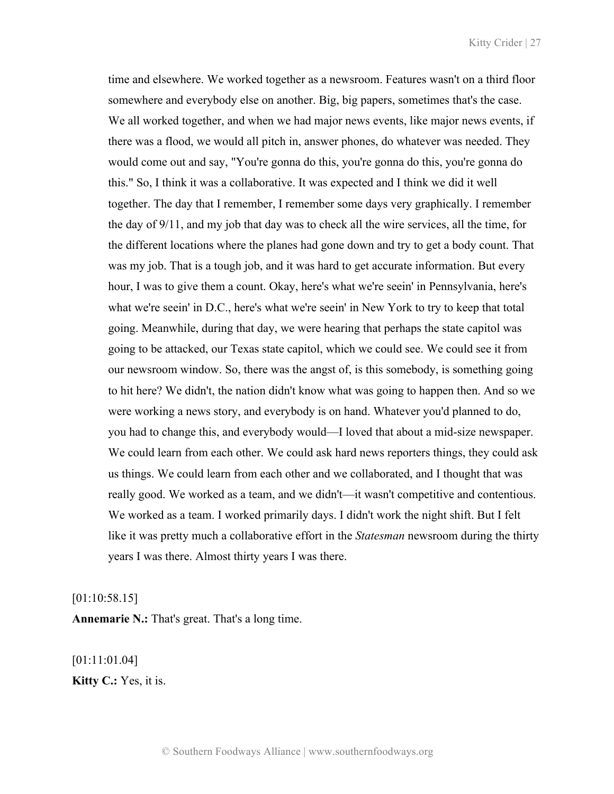time and elsewhere. We worked together as a newsroom. Features wasn't on a third floor somewhere and everybody else on another. Big, big papers, sometimes that's the case. We all worked together, and when we had major news events, like major news events, if there was a flood, we would all pitch in, answer phones, do whatever was needed. They would come out and say, "You're gonna do this, you're gonna do this, you're gonna do this." So, I think it was a collaborative. It was expected and I think we did it well together. The day that I remember, I remember some days very graphically. I remember the day of 9/11, and my job that day was to check all the wire services, all the time, for the different locations where the planes had gone down and try to get a body count. That was my job. That is a tough job, and it was hard to get accurate information. But every hour, I was to give them a count. Okay, here's what we're seein' in Pennsylvania, here's what we're seein' in D.C., here's what we're seein' in New York to try to keep that total going. Meanwhile, during that day, we were hearing that perhaps the state capitol was going to be attacked, our Texas state capitol, which we could see. We could see it from our newsroom window. So, there was the angst of, is this somebody, is something going to hit here? We didn't, the nation didn't know what was going to happen then. And so we were working a news story, and everybody is on hand. Whatever you'd planned to do, you had to change this, and everybody would—I loved that about a mid-size newspaper. We could learn from each other. We could ask hard news reporters things, they could ask us things. We could learn from each other and we collaborated, and I thought that was really good. We worked as a team, and we didn't—it wasn't competitive and contentious. We worked as a team. I worked primarily days. I didn't work the night shift. But I felt like it was pretty much a collaborative effort in the *Statesman* newsroom during the thirty years I was there. Almost thirty years I was there.

[01:10:58.15]

**Annemarie N.:** That's great. That's a long time.

[01:11:01.04] **Kitty C.:** Yes, it is.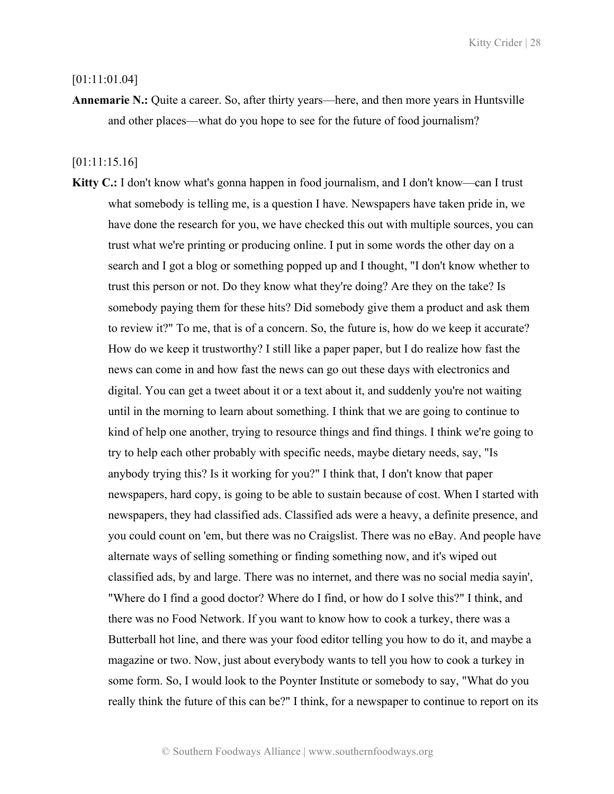### [01:11:01.04]

**Annemarie N.:** Quite a career. So, after thirty years—here, and then more years in Huntsville and other places—what do you hope to see for the future of food journalism?

# [01:11:15.16]

**Kitty C.:** I don't know what's gonna happen in food journalism, and I don't know—can I trust what somebody is telling me, is a question I have. Newspapers have taken pride in, we have done the research for you, we have checked this out with multiple sources, you can trust what we're printing or producing online. I put in some words the other day on a search and I got a blog or something popped up and I thought, "I don't know whether to trust this person or not. Do they know what they're doing? Are they on the take? Is somebody paying them for these hits? Did somebody give them a product and ask them to review it?" To me, that is of a concern. So, the future is, how do we keep it accurate? How do we keep it trustworthy? I still like a paper paper, but I do realize how fast the news can come in and how fast the news can go out these days with electronics and digital. You can get a tweet about it or a text about it, and suddenly you're not waiting until in the morning to learn about something. I think that we are going to continue to kind of help one another, trying to resource things and find things. I think we're going to try to help each other probably with specific needs, maybe dietary needs, say, "Is anybody trying this? Is it working for you?" I think that, I don't know that paper newspapers, hard copy, is going to be able to sustain because of cost. When I started with newspapers, they had classified ads. Classified ads were a heavy, a definite presence, and you could count on 'em, but there was no Craigslist. There was no eBay. And people have alternate ways of selling something or finding something now, and it's wiped out classified ads, by and large. There was no internet, and there was no social media sayin', "Where do I find a good doctor? Where do I find, or how do I solve this?" I think, and there was no Food Network. If you want to know how to cook a turkey, there was a Butterball hot line, and there was your food editor telling you how to do it, and maybe a magazine or two. Now, just about everybody wants to tell you how to cook a turkey in some form. So, I would look to the Poynter Institute or somebody to say, "What do you really think the future of this can be?" I think, for a newspaper to continue to report on its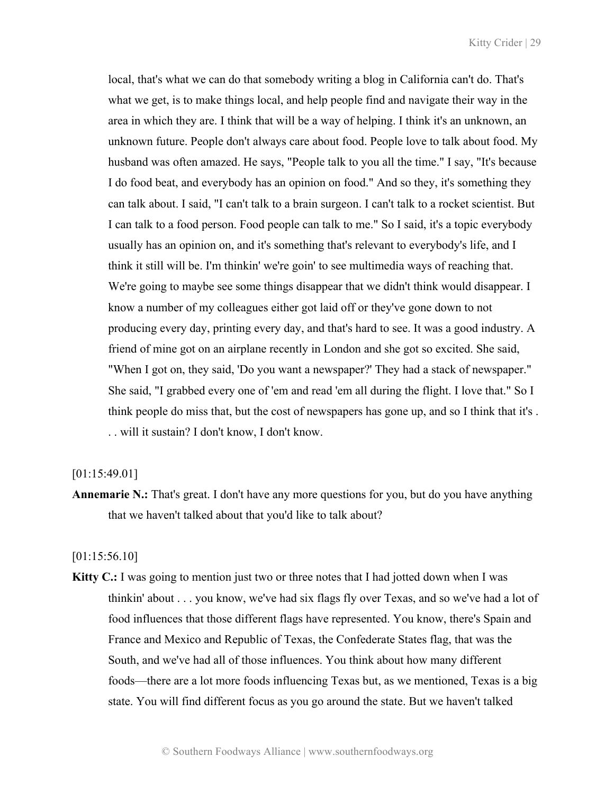local, that's what we can do that somebody writing a blog in California can't do. That's what we get, is to make things local, and help people find and navigate their way in the area in which they are. I think that will be a way of helping. I think it's an unknown, an unknown future. People don't always care about food. People love to talk about food. My husband was often amazed. He says, "People talk to you all the time." I say, "It's because I do food beat, and everybody has an opinion on food." And so they, it's something they can talk about. I said, "I can't talk to a brain surgeon. I can't talk to a rocket scientist. But I can talk to a food person. Food people can talk to me." So I said, it's a topic everybody usually has an opinion on, and it's something that's relevant to everybody's life, and I think it still will be. I'm thinkin' we're goin' to see multimedia ways of reaching that. We're going to maybe see some things disappear that we didn't think would disappear. I know a number of my colleagues either got laid off or they've gone down to not producing every day, printing every day, and that's hard to see. It was a good industry. A friend of mine got on an airplane recently in London and she got so excited. She said, "When I got on, they said, 'Do you want a newspaper?' They had a stack of newspaper." She said, "I grabbed every one of 'em and read 'em all during the flight. I love that." So I think people do miss that, but the cost of newspapers has gone up, and so I think that it's . . . will it sustain? I don't know, I don't know.

## [01:15:49.01]

**Annemarie N.:** That's great. I don't have any more questions for you, but do you have anything that we haven't talked about that you'd like to talk about?

[01:15:56.10]

**Kitty C.:** I was going to mention just two or three notes that I had jotted down when I was thinkin' about . . . you know, we've had six flags fly over Texas, and so we've had a lot of food influences that those different flags have represented. You know, there's Spain and France and Mexico and Republic of Texas, the Confederate States flag, that was the South, and we've had all of those influences. You think about how many different foods—there are a lot more foods influencing Texas but, as we mentioned, Texas is a big state. You will find different focus as you go around the state. But we haven't talked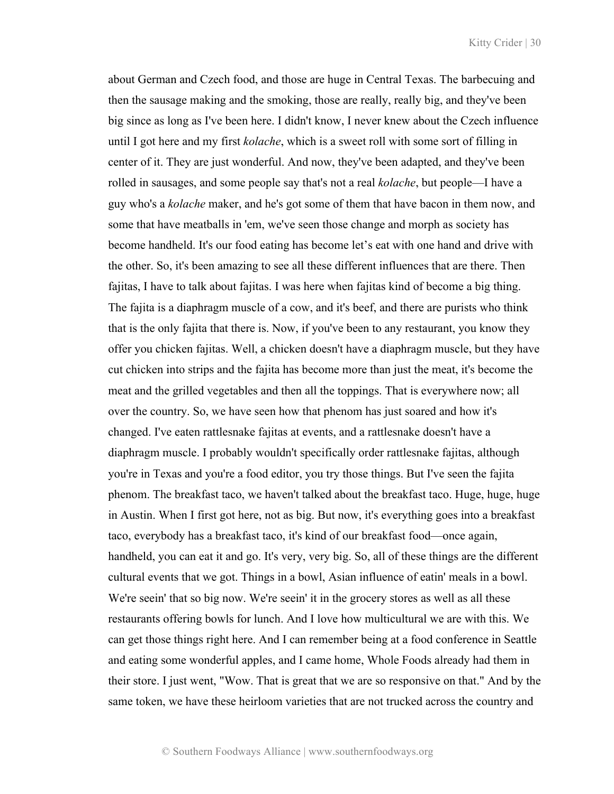about German and Czech food, and those are huge in Central Texas. The barbecuing and then the sausage making and the smoking, those are really, really big, and they've been big since as long as I've been here. I didn't know, I never knew about the Czech influence until I got here and my first *kolache*, which is a sweet roll with some sort of filling in center of it. They are just wonderful. And now, they've been adapted, and they've been rolled in sausages, and some people say that's not a real *kolache*, but people—I have a guy who's a *kolache* maker, and he's got some of them that have bacon in them now, and some that have meatballs in 'em, we've seen those change and morph as society has become handheld. It's our food eating has become let's eat with one hand and drive with the other. So, it's been amazing to see all these different influences that are there. Then fajitas, I have to talk about fajitas. I was here when fajitas kind of become a big thing. The fajita is a diaphragm muscle of a cow, and it's beef, and there are purists who think that is the only fajita that there is. Now, if you've been to any restaurant, you know they offer you chicken fajitas. Well, a chicken doesn't have a diaphragm muscle, but they have cut chicken into strips and the fajita has become more than just the meat, it's become the meat and the grilled vegetables and then all the toppings. That is everywhere now; all over the country. So, we have seen how that phenom has just soared and how it's changed. I've eaten rattlesnake fajitas at events, and a rattlesnake doesn't have a diaphragm muscle. I probably wouldn't specifically order rattlesnake fajitas, although you're in Texas and you're a food editor, you try those things. But I've seen the fajita phenom. The breakfast taco, we haven't talked about the breakfast taco. Huge, huge, huge in Austin. When I first got here, not as big. But now, it's everything goes into a breakfast taco, everybody has a breakfast taco, it's kind of our breakfast food—once again, handheld, you can eat it and go. It's very, very big. So, all of these things are the different cultural events that we got. Things in a bowl, Asian influence of eatin' meals in a bowl. We're seein' that so big now. We're seein' it in the grocery stores as well as all these restaurants offering bowls for lunch. And I love how multicultural we are with this. We can get those things right here. And I can remember being at a food conference in Seattle and eating some wonderful apples, and I came home, Whole Foods already had them in their store. I just went, "Wow. That is great that we are so responsive on that." And by the same token, we have these heirloom varieties that are not trucked across the country and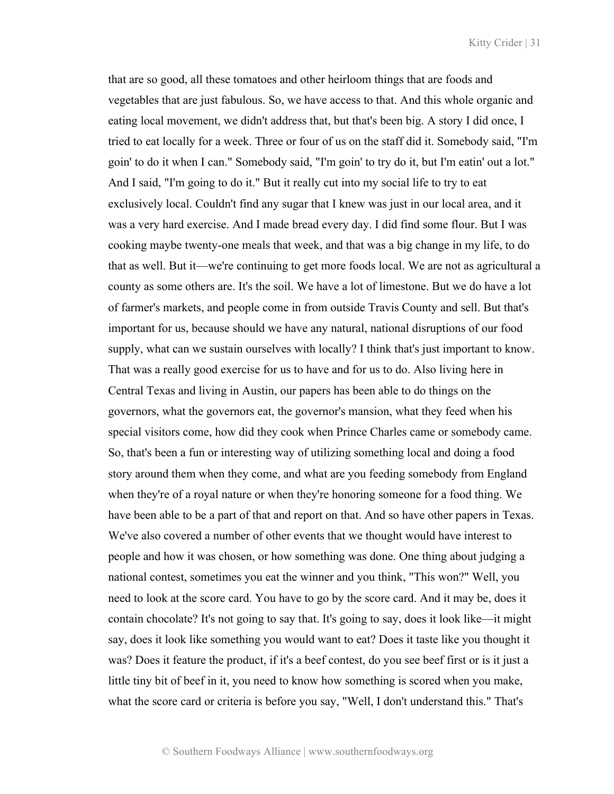that are so good, all these tomatoes and other heirloom things that are foods and vegetables that are just fabulous. So, we have access to that. And this whole organic and eating local movement, we didn't address that, but that's been big. A story I did once, I tried to eat locally for a week. Three or four of us on the staff did it. Somebody said, "I'm goin' to do it when I can." Somebody said, "I'm goin' to try do it, but I'm eatin' out a lot." And I said, "I'm going to do it." But it really cut into my social life to try to eat exclusively local. Couldn't find any sugar that I knew was just in our local area, and it was a very hard exercise. And I made bread every day. I did find some flour. But I was cooking maybe twenty-one meals that week, and that was a big change in my life, to do that as well. But it—we're continuing to get more foods local. We are not as agricultural a county as some others are. It's the soil. We have a lot of limestone. But we do have a lot of farmer's markets, and people come in from outside Travis County and sell. But that's important for us, because should we have any natural, national disruptions of our food supply, what can we sustain ourselves with locally? I think that's just important to know. That was a really good exercise for us to have and for us to do. Also living here in Central Texas and living in Austin, our papers has been able to do things on the governors, what the governors eat, the governor's mansion, what they feed when his special visitors come, how did they cook when Prince Charles came or somebody came. So, that's been a fun or interesting way of utilizing something local and doing a food story around them when they come, and what are you feeding somebody from England when they're of a royal nature or when they're honoring someone for a food thing. We have been able to be a part of that and report on that. And so have other papers in Texas. We've also covered a number of other events that we thought would have interest to people and how it was chosen, or how something was done. One thing about judging a national contest, sometimes you eat the winner and you think, "This won?" Well, you need to look at the score card. You have to go by the score card. And it may be, does it contain chocolate? It's not going to say that. It's going to say, does it look like—it might say, does it look like something you would want to eat? Does it taste like you thought it was? Does it feature the product, if it's a beef contest, do you see beef first or is it just a little tiny bit of beef in it, you need to know how something is scored when you make, what the score card or criteria is before you say, "Well, I don't understand this." That's